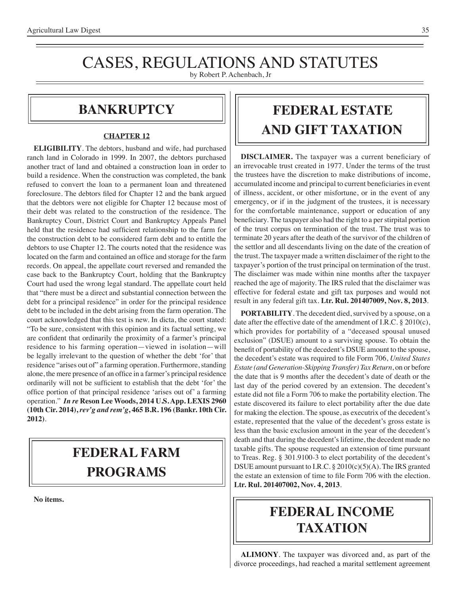# CASES, REGULATIONS AND STATUTES

by Robert P. Achenbach, Jr

### **bankruptcy**

#### **CHAPTER 12**

**ELIGIBILITY**. The debtors, husband and wife, had purchased ranch land in Colorado in 1999. In 2007, the debtors purchased another tract of land and obtained a construction loan in order to build a residence. When the construction was completed, the bank refused to convert the loan to a permanent loan and threatened foreclosure. The debtors filed for Chapter 12 and the bank argued that the debtors were not eligible for Chapter 12 because most of their debt was related to the construction of the residence. The Bankruptcy Court, District Court and Bankruptcy Appeals Panel held that the residence had sufficient relationship to the farm for the construction debt to be considered farm debt and to entitle the debtors to use Chapter 12. The courts noted that the residence was located on the farm and contained an office and storage for the farm records. On appeal, the appellate court reversed and remanded the case back to the Bankruptcy Court, holding that the Bankruptcy Court had used the wrong legal standard. The appellate court held that "there must be a direct and substantial connection between the debt for a principal residence" in order for the principal residence debt to be included in the debt arising from the farm operation. The court acknowledged that this test is new. In dicta, the court stated: "To be sure, consistent with this opinion and its factual setting, we are confident that ordinarily the proximity of a farmer's principal residence to his farming operation—viewed in isolation—will be legally irrelevant to the question of whether the debt 'for' that residence "arises out of" a farming operation. Furthermore, standing alone, the mere presence of an office in a farmer's principal residence ordinarily will not be sufficient to establish that the debt 'for' the office portion of that principal residence 'arises out of' a farming operation." *In re* **Reson Lee Woods, 2014 U.S. App. LEXIS 2960 (10th Cir. 2014),** *rev'g and rem'g***, 465 B.R. 196 (Bankr. 10th Cir. 2012)**.

## **federal FARM PROGRAMS**

**No items.**

## **FEDERAL ESTATE AND GIFT taxation**

**DISCLAIMER.** The taxpayer was a current beneficiary of an irrevocable trust created in 1977. Under the terms of the trust the trustees have the discretion to make distributions of income, accumulated income and principal to current beneficiaries in event of illness, accident, or other misfortune, or in the event of any emergency, or if in the judgment of the trustees, it is necessary for the comfortable maintenance, support or education of any beneficiary. The taxpayer also had the right to a per stirpital portion of the trust corpus on termination of the trust. The trust was to terminate 20 years after the death of the survivor of the children of the settlor and all descendants living on the date of the creation of the trust. The taxpayer made a written disclaimer of the right to the taxpayer's portion of the trust principal on termination of the trust. The disclaimer was made within nine months after the taxpayer reached the age of majority. The IRS ruled that the disclaimer was effective for federal estate and gift tax purposes and would not result in any federal gift tax. **Ltr. Rul. 201407009, Nov. 8, 2013**.

**PORTABILITY**. The decedent died, survived by a spouse, on a date after the effective date of the amendment of I.R.C. § 2010(c), which provides for portability of a "deceased spousal unused exclusion" (DSUE) amount to a surviving spouse. To obtain the benefit of portability of the decedent's DSUE amount to the spouse, the decedent's estate was required to file Form 706, *United States Estate (and Generation-Skipping Transfer) Tax Return*, on or before the date that is 9 months after the decedent's date of death or the last day of the period covered by an extension. The decedent's estate did not file a Form 706 to make the portability election. The estate discovered its failure to elect portability after the due date for making the election. The spouse, as executrix of the decedent's estate, represented that the value of the decedent's gross estate is less than the basic exclusion amount in the year of the decedent's death and that during the decedent's lifetime, the decedent made no taxable gifts. The spouse requested an extension of time pursuant to Treas. Reg. § 301.9100-3 to elect portability of the decedent's DSUE amount pursuant to I.R.C. § 2010(c)(5)(A). The IRS granted the estate an extension of time to file Form 706 with the election. **Ltr. Rul. 201407002, Nov. 4, 2013**.

## **federal income TAXATION**

**ALIMONY**. The taxpayer was divorced and, as part of the divorce proceedings, had reached a marital settlement agreement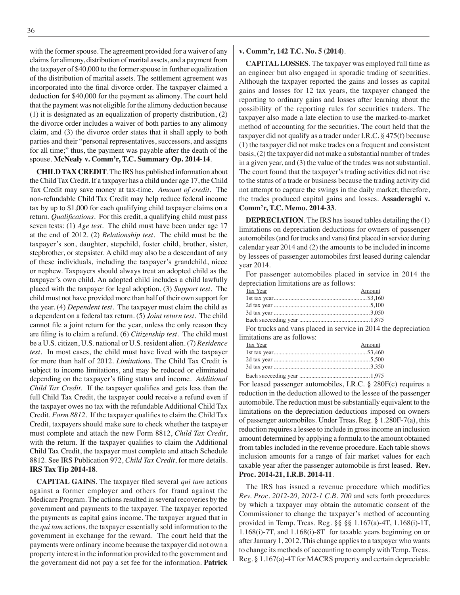with the former spouse. The agreement provided for a waiver of any claims for alimony, distribution of marital assets, and a payment from the taxpayer of \$40,000 to the former spouse in further equalization of the distribution of marital assets. The settlement agreement was incorporated into the final divorce order. The taxpayer claimed a deduction for \$40,000 for the payment as alimony. The court held that the payment was not eligible for the alimony deduction because (1) it is designated as an equalization of property distribution, (2) the divorce order includes a waiver of both parties to any alimony claim, and (3) the divorce order states that it shall apply to both parties and their "personal representatives, successors, and assigns for all time;" thus, the payment was payable after the death of the spouse. **McNealy v. Comm'r, T.C. Summary Op. 2014-14**.

**CHILD TAX CREDIT**. The IRS has published information about the Child Tax Credit. If a taxpayer has a child under age 17, the Child Tax Credit may save money at tax-time. *Amount of credit*. The non-refundable Child Tax Credit may help reduce federal income tax by up to \$1,000 for each qualifying child taxpayer claims on a return. *Qualifications*. For this credit, a qualifying child must pass seven tests: (1) *Age test*. The child must have been under age 17 at the end of 2012. (2) *Relationship test*. The child must be the taxpayer's son, daughter, stepchild, foster child, brother, sister, stepbrother, or stepsister. A child may also be a descendant of any of these individuals, including the taxpayer's grandchild, niece or nephew. Taxpayers should always treat an adopted child as the taxpayer's own child. An adopted child includes a child lawfully placed with the taxpayer for legal adoption. (3) *Support test*. The child must not have provided more than half of their own support for the year. (4) *Dependent test*. The taxpayer must claim the child as a dependent on a federal tax return. (5) *Joint return test*. The child cannot file a joint return for the year, unless the only reason they are filing is to claim a refund. (6) *Citizenship test*. The child must be a U.S. citizen, U.S. national or U.S. resident alien. (7) *Residence test*. In most cases, the child must have lived with the taxpayer for more than half of 2012. *Limitations*. The Child Tax Credit is subject to income limitations, and may be reduced or eliminated depending on the taxpayer's filing status and income. *Additional Child Tax Credit*. If the taxpayer qualifies and gets less than the full Child Tax Credit, the taxpayer could receive a refund even if the taxpayer owes no tax with the refundable Additional Child Tax Credit. *Form 8812*. If the taxpayer qualifies to claim the Child Tax Credit, taxpayers should make sure to check whether the taxpayer must complete and attach the new Form 8812, *Child Tax Credit*, with the return. If the taxpayer qualifies to claim the Additional Child Tax Credit, the taxpayer must complete and attach Schedule 8812. See IRS Publication 972, *Child Tax Credit*, for more details. **IRS Tax Tip 2014-18**.

**CAPITAL GAINS**. The taxpayer filed several *qui tam* actions against a former employer and others for fraud against the Medicare Program. The actions resulted in several recoveries by the government and payments to the taxpayer. The taxpayer reported the payments as capital gains income. The taxpayer argued that in the *qui tam* actions, the taxpayer essentially sold information to the government in exchange for the reward. The court held that the payments were ordinary income because the taxpayer did not own a property interest in the information provided to the government and the government did not pay a set fee for the information. **Patrick** 

#### **v. Comm'r, 142 T.C. No. 5 (2014)**.

**CAPITAL LOSSES**. The taxpayer was employed full time as an engineer but also engaged in sporadic trading of securities. Although the taxpayer reported the gains and losses as capital gains and losses for 12 tax years, the taxpayer changed the reporting to ordinary gains and losses after learning about the possibility of the reporting rules for securities traders. The taxpayer also made a late election to use the marked-to-market method of accounting for the securities. The court held that the taxpayer did not qualify as a trader under I.R.C. § 475(f) because (1) the taxpayer did not make trades on a frequent and consistent basis, (2) the taxpayer did not make a substantial number of trades in a given year, and (3) the value of the trades was not substantial. The court found that the taxpayer's trading activities did not rise to the status of a trade or business because the trading activity did not attempt to capture the swings in the daily market; therefore, the trades produced capital gains and losses. **Assaderaghi v. Comm'r, T.C. Memo. 2014-33**.

**DEPRECIATION**. The IRS has issued tables detailing the (1) limitations on depreciation deductions for owners of passenger automobiles (and for trucks and vans) first placed in service during calendar year 2014 and (2) the amounts to be included in income by lessees of passenger automobiles first leased during calendar year 2014.

For passenger automobiles placed in service in 2014 the depreciation limitations are as follows:

| Tax Year | Amount |
|----------|--------|
|          |        |
|          |        |
|          |        |
|          |        |

For trucks and vans placed in service in 2014 the depreciation limitations are as follows:

| Tax Year | Amount |
|----------|--------|
|          |        |
|          |        |
|          |        |
|          |        |

For leased passenger automobiles, I.R.C. § 280F(c) requires a reduction in the deduction allowed to the lessee of the passenger automobile. The reduction must be substantially equivalent to the limitations on the depreciation deductions imposed on owners of passenger automobiles. Under Treas. Reg. § 1.280F-7(a), this reduction requires a lessee to include in gross income an inclusion amount determined by applying a formula to the amount obtained from tables included in the revenue procedure. Each table shows inclusion amounts for a range of fair market values for each taxable year after the passenger automobile is first leased. **Rev. Proc. 2014-21, I.R.B. 2014-11**.

The IRS has issued a revenue procedure which modifies *Rev. Proc. 2012-20, 2012-1 C.B. 700* and sets forth procedures by which a taxpayer may obtain the automatic consent of the Commissioner to change the taxpayer's method of accounting provided in Temp. Treas. Reg. §§ §§ 1.167(a)-4T, 1.168(i)-1T, 1.168(i)-7T, and 1.168(i)-8T for taxable years beginning on or after January 1, 2012. This change applies to a taxpayer who wants to change its methods of accounting to comply with Temp. Treas. Reg. § 1.167(a)-4T for MACRS property and certain depreciable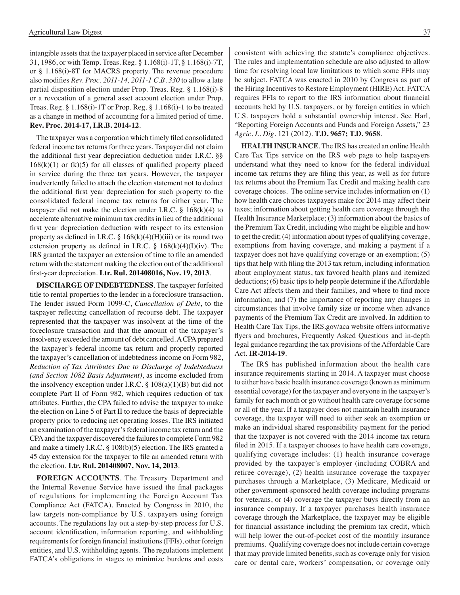intangible assets that the taxpayer placed in service after December 31, 1986, or with Temp. Treas. Reg. § 1.168(i)-1T, § 1.168(i)-7T, or § 1.168(i)-8T for MACRS property. The revenue procedure also modifies *Rev. Proc. 2011-14, 2011-1 C.B. 330* to allow a late partial disposition election under Prop. Treas. Reg. § 1.168(i)-8 or a revocation of a general asset account election under Prop. Treas. Reg. § 1.168(i)-1T or Prop. Reg. § 1.168(i)-1 to be treated as a change in method of accounting for a limited period of time. **Rev. Proc. 2014-17, I.R.B. 2014-12**.

The taxpayer was a corporation which timely filed consolidated federal income tax returns for three years. Taxpayer did not claim the additional first year depreciation deduction under I.R.C. §§  $168(k)(1)$  or  $(k)(5)$  for all classes of qualified property placed in service during the three tax years. However, the taxpayer inadvertently failed to attach the election statement not to deduct the additional first year depreciation for such property to the consolidated federal income tax returns for either year. The taxpayer did not make the election under I.R.C.  $\S$  168(k)(4) to accelerate alternative minimum tax credits in lieu of the additional first year depreciation deduction with respect to its extension property as defined in I.R.C.  $\S$  168(k)(4)(H)(iii) or its round two extension property as defined in I.R.C.  $\S$  168(k)(4)(I)(iv). The IRS granted the taxpayer an extension of time to file an amended return with the statement making the election out of the additional first-year depreciation. **Ltr. Rul. 201408016, Nov. 19, 2013**.

**DISCHARGE OF INDEBTEDNESS**. The taxpayer forfeited title to rental properties to the lender in a foreclosure transaction. The lender issued Form 1099-C, *Cancellation of Debt*, to the taxpayer reflecting cancellation of recourse debt. The taxpayer represented that the taxpayer was insolvent at the time of the foreclosure transaction and that the amount of the taxpayer's insolvency exceeded the amount of debt cancelled. A CPA prepared the taxpayer's federal income tax return and properly reported the taxpayer's cancellation of indebtedness income on Form 982, *Reduction of Tax Attributes Due to Discharge of Indebtedness (and Section 1082 Basis Adjustment)*, as income excluded from the insolvency exception under I.R.C.  $\S$  108(a)(1)(B) but did not complete Part II of Form 982, which requires reduction of tax attributes. Further, the CPA failed to advise the taxpayer to make the election on Line 5 of Part II to reduce the basis of depreciable property prior to reducing net operating losses. The IRS initiated an examination of the taxpayer's federal income tax return and the CPA and the taxpayer discovered the failures to complete Form 982 and make a timely I.R.C. § 108(b)(5) election. The IRS granted a 45 day extension for the taxpayer to file an amended return with the election. **Ltr. Rul. 201408007, Nov. 14, 2013**.

**FOREIGN ACCOUNTS**. The Treasury Department and the Internal Revenue Service have issued the final packages of regulations for implementing the Foreign Account Tax Compliance Act (FATCA). Enacted by Congress in 2010, the law targets non-compliance by U.S. taxpayers using foreign accounts. The regulations lay out a step-by-step process for U.S. account identification, information reporting, and withholding requirements for foreign financial institutions (FFIs), other foreign entities, and U.S. withholding agents. The regulations implement FATCA's obligations in stages to minimize burdens and costs

consistent with achieving the statute's compliance objectives. The rules and implementation schedule are also adjusted to allow time for resolving local law limitations to which some FFIs may be subject. FATCA was enacted in 2010 by Congress as part of the Hiring Incentives to Restore Employment (HIRE) Act. FATCA requires FFIs to report to the IRS information about financial accounts held by U.S. taxpayers, or by foreign entities in which U.S. taxpayers hold a substantial ownership interest. See Harl, "Reporting Foreign Accounts and Funds and Foreign Assets," 23 *Agric. L. Dig*. 121 (2012). **T.D. 9657; T.D. 9658**.

**HEALTH INSURANCE**. The IRS has created an online Health Care Tax Tips service on the IRS web page to help taxpayers understand what they need to know for the federal individual income tax returns they are filing this year, as well as for future tax returns about the Premium Tax Credit and making health care coverage choices. The online service includes information on (1) how health care choices taxpayers make for 2014 may affect their taxes; information about getting health care coverage through the Health Insurance Marketplace; (3) information about the basics of the Premium Tax Credit, including who might be eligible and how to get the credit; (4) information about types of qualifying coverage, exemptions from having coverage, and making a payment if a taxpayer does not have qualifying coverage or an exemption; (5) tips that help with filing the 2013 tax return, including information about employment status, tax favored health plans and itemized deductions; (6) basic tips to help people determine if the Affordable Care Act affects them and their families, and where to find more information; and (7) the importance of reporting any changes in circumstances that involve family size or income when advance payments of the Premium Tax Credit are involved. In addition to Health Care Tax Tips, the IRS.gov/aca website offers informative flyers and brochures, Frequently Asked Questions and in-depth legal guidance regarding the tax provisions of the Affordable Care Act. **IR-2014-19**.

The IRS has published information about the health care insurance requirements starting in 2014. A taxpayer must choose to either have basic health insurance coverage (known as minimum essential coverage) for the taxpayer and everyone in the taxpayer's family for each month or go without health care coverage for some or all of the year. If a taxpayer does not maintain health insurance coverage, the taxpayer will need to either seek an exemption or make an individual shared responsibility payment for the period that the taxpayer is not covered with the 2014 income tax return filed in 2015. If a taxpayer chooses to have health care coverage, qualifying coverage includes: (1) health insurance coverage provided by the taxpayer's employer (including COBRA and retiree coverage), (2) health insurance coverage the taxpayer purchases through a Marketplace, (3) Medicare, Medicaid or other government-sponsored health coverage including programs for veterans, or (4) coverage the taxpayer buys directly from an insurance company. If a taxpayer purchases health insurance coverage through the Marketplace, the taxpayer may be eligible for financial assistance including the premium tax credit, which will help lower the out-of-pocket cost of the monthly insurance premiums. Qualifying coverage does not include certain coverage that may provide limited benefits, such as coverage only for vision care or dental care, workers' compensation, or coverage only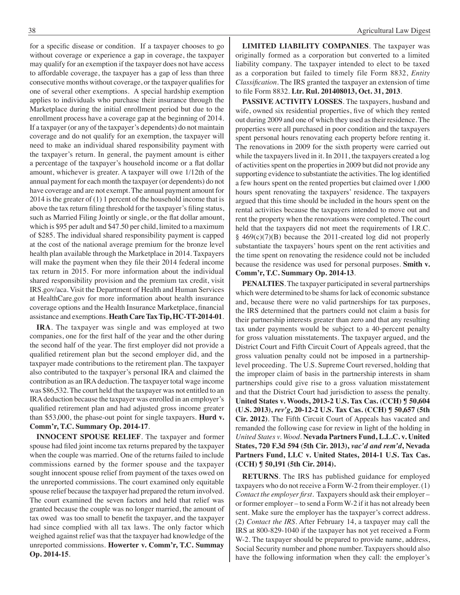for a specific disease or condition. If a taxpayer chooses to go without coverage or experience a gap in coverage, the taxpayer may qualify for an exemption if the taxpayer does not have access to affordable coverage, the taxpayer has a gap of less than three consecutive months without coverage, or the taxpayer qualifies for one of several other exemptions. A special hardship exemption applies to individuals who purchase their insurance through the Marketplace during the initial enrollment period but due to the enrollment process have a coverage gap at the beginning of 2014. If a taxpayer (or any of the taxpayer's dependents) do not maintain coverage and do not qualify for an exemption, the taxpayer will need to make an individual shared responsibility payment with the taxpayer's return. In general, the payment amount is either a percentage of the taxpayer's household income or a flat dollar amount, whichever is greater. A taxpayer will owe 1/12th of the annual payment for each month the taxpayer (or dependents) do not have coverage and are not exempt. The annual payment amount for 2014 is the greater of (1) 1 percent of the household income that is above the tax return filing threshold for the taxpayer's filing status, such as Married Filing Jointly or single, or the flat dollar amount, which is \$95 per adult and \$47.50 per child, limited to a maximum of \$285. The individual shared responsibility payment is capped at the cost of the national average premium for the bronze level health plan available through the Marketplace in 2014. Taxpayers will make the payment when they file their 2014 federal income tax return in 2015. For more information about the individual shared responsibility provision and the premium tax credit, visit IRS.gov/aca. Visit the Department of Health and Human Services at HealthCare.gov for more information about health insurance coverage options and the Health Insurance Marketplace, financial assistance and exemptions. **Heath Care Tax Tip, HC-TT-2014-01**.

**IRA**. The taxpayer was single and was employed at two companies, one for the first half of the year and the other during the second half of the year. The first employer did not provide a qualified retirement plan but the second employer did, and the taxpayer made contributions to the retirement plan. The taxpayer also contributed to the taxpayer's personal IRA and claimed the contribution as an IRA deduction. The taxpayer total wage income was \$86,532. The court held that the taxpayer was not entitled to an IRA deduction because the taxpayer was enrolled in an employer's qualified retirement plan and had adjusted gross income greater than \$53,000, the phase-out point for single taxpayers. **Hurd v. Comm'r, T.C. Summary Op. 2014-17**.

**INNOCENT SPOUSE RELIEF**. The taxpayer and former spouse had filed joint income tax returns prepared by the taxpayer when the couple was married. One of the returns failed to include commissions earned by the former spouse and the taxpayer sought innocent spouse relief from payment of the taxes owed on the unreported commissions. The court examined only equitable spouse relief because the taxpayer had prepared the return involved. The court examined the seven factors and held that relief was granted because the couple was no longer married, the amount of tax owed was too small to benefit the taxpayer, and the taxpayer had since complied with all tax laws. The only factor which weighed against relief was that the taxpayer had knowledge of the unreported commissions. **Howerter v. Comm'r, T.C. Summay Op. 2014-15**.

**LIMITED LIABILITY COMPANIES**. The taxpayer was originally formed as a corporation but converted to a limited liability company. The taxpayer intended to elect to be taxed as a corporation but failed to timely file Form 8832, *Entity Classification*. The IRS granted the taxpayer an extension of time to file Form 8832. **Ltr. Rul. 201408013, Oct. 31, 2013**.

**PASSIVE ACTIVITY LOSSES**. The taxpayers, husband and wife, owned six residential properties, five of which they rented out during 2009 and one of which they used as their residence. The properties were all purchased in poor condition and the taxpayers spent personal hours renovating each property before renting it. The renovations in 2009 for the sixth property were carried out while the taxpayers lived in it. In 2011, the taxpayers created a log of activities spent on the properties in 2009 but did not provide any supporting evidence to substantiate the activities. The log identified a few hours spent on the rented properties but claimed over 1,000 hours spent renovating the taxpayers' residence. The taxpayers argued that this time should be included in the hours spent on the rental activities because the taxpayers intended to move out and rent the property when the renovations were completed. The court held that the taxpayers did not meet the requirements of I.R.C. § 469(c)(7)(B) because the 2011-created log did not properly substantiate the taxpayers' hours spent on the rent activities and the time spent on renovating the residence could not be included because the residence was used for personal purposes. **Smith v. Comm'r, T.C. Summary Op. 2014-13**.

**PENALTIES**. The taxpayer participated in several partnerships which were determined to be shams for lack of economic substance and, because there were no valid partnerships for tax purposes, the IRS determined that the partners could not claim a basis for their partnership interests greater than zero and that any resulting tax under payments would be subject to a 40-percent penalty for gross valuation misstatements. The taxpayer argued, and the District Court and Fifth Circuit Court of Appeals agreed, that the gross valuation penalty could not be imposed in a partnershiplevel proceeding. The U.S. Supreme Court reversed, holding that the improper claim of basis in the partnership interests in sham partnerships could give rise to a gross valuation misstatement and that the District Court had jurisdiction to assess the penalty. **United States v. Woods, 2013-2 U.S. Tax Cas. (CCH) ¶ 50,604 (U.S. 2013),** *rev'g***, 20-12-2 U.S. Tax Cas. (CCH) ¶ 50,657 (5th Cir. 2012)**. The Fifth Circuit Court of Appeals has vacated and remanded the following case for review in light of the holding in *United States v. Wood*. **Nevada Partners Fund, L.L.C. v. United States, 720 F.3d 594 (5th Cir. 2013),** *vac'd and rem'd***, Nevada Partners Fund, LLC v. United States, 2014-1 U.S. Tax Cas. (CCH) ¶ 50,191 (5th Cir. 2014).**

**RETURNS**. The IRS has published guidance for employed taxpayers who do not receive a Form W-2 from their employer. (1) *Contact the employer first*. Taxpayers should ask their employer – or former employer – to send a Form W-2 if it has not already been sent. Make sure the employer has the taxpayer's correct address. (2) *Contact the IRS*. After February 14, a taxpayer may call the IRS at 800-829-1040 if the taxpayer has not yet received a Form W-2. The taxpayer should be prepared to provide name, address, Social Security number and phone number. Taxpayers should also have the following information when they call: the employer's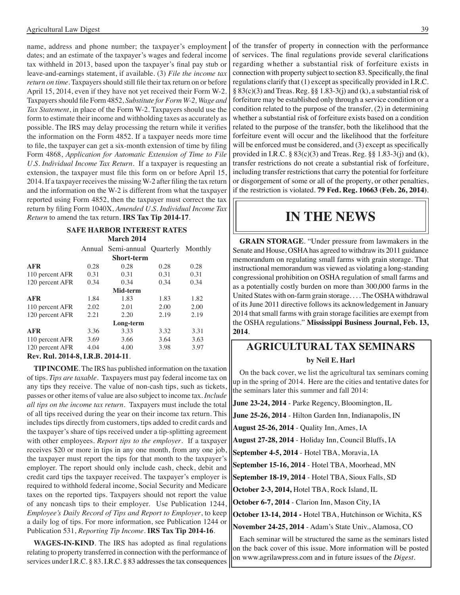name, address and phone number; the taxpayer's employment dates; and an estimate of the taxpayer's wages and federal income tax withheld in 2013, based upon the taxpayer's final pay stub or leave-and-earnings statement, if available. (3) *File the income tax return on time*. Taxpayers should still file their tax return on or before April 15, 2014, even if they have not yet received their Form W-2. Taxpayers should file Form 4852, *Substitute for Form W-2, Wage and Tax Statement*, in place of the Form W-2. Taxpayers should use the form to estimate their income and withholding taxes as accurately as possible. The IRS may delay processing the return while it verifies the information on the Form 4852. If a taxpayer needs more time to file, the taxpayer can get a six-month extension of time by filing Form 4868, *Application for Automatic Extension of Time to File U.S. Individual Income Tax Return*. If a taxpayer is requesting an extension, the taxpayer must file this form on or before April 15, 2014. If a taxpayer receives the missing W-2 after filing the tax return and the information on the W-2 is different from what the taxpayer reported using Form 4852, then the taxpayer must correct the tax return by filing Form 1040X, *Amended U.S. Individual Income Tax Return* to amend the tax return. **IRS Tax Tip 2014-17**.

#### **Safe Harbor interest rates March 2014**

|                            |      | Annual Semi-annual Quarterly Monthly |      |      |
|----------------------------|------|--------------------------------------|------|------|
|                            |      | <b>Short-term</b>                    |      |      |
| <b>AFR</b>                 | 0.28 | 0.28                                 | 0.28 | 0.28 |
| 110 percent AFR            | 0.31 | 0.31                                 | 0.31 | 0.31 |
| 120 percent AFR            | 0.34 | 0.34                                 | 0.34 | 0.34 |
|                            |      | Mid-term                             |      |      |
| <b>AFR</b>                 | 1.84 | 1.83                                 | 1.83 | 1.82 |
| 110 percent AFR            | 2.02 | 2.01                                 | 2.00 | 2.00 |
| 120 percent AFR            | 2.21 | 2.20                                 | 2.19 | 2.19 |
|                            |      | Long-term                            |      |      |
| <b>AFR</b>                 | 3.36 | 3.33                                 | 3.32 | 3.31 |
| 110 percent AFR            | 3.69 | 3.66                                 | 3.64 | 3.63 |
| 120 percent AFR            | 4.04 | 4.00                                 | 3.98 | 3.97 |
| $D_{\text{ext}}$ D.J. 2014 | DÐ   | <b>2014</b><br>11                    |      |      |

**Rev. Rul. 2014-8, I.R.B. 2014-11**.

**TIP INCOME**. The IRS has published information on the taxation of tips. *Tips are taxable*. Taxpayers must pay federal income tax on any tips they receive. The value of non-cash tips, such as tickets, passes or other items of value are also subject to income tax. *Include all tips on the income tax return*. Taxpayers must include the total of all tips received during the year on their income tax return. This includes tips directly from customers, tips added to credit cards and the taxpayer's share of tips received under a tip-splitting agreement with other employees. *Report tips to the employer*. If a taxpayer receives \$20 or more in tips in any one month, from any one job, the taxpayer must report the tips for that month to the taxpayer's employer. The report should only include cash, check, debit and credit card tips the taxpayer received. The taxpayer's employer is required to withhold federal income, Social Security and Medicare taxes on the reported tips. Taxpayers should not report the value of any noncash tips to their employer. Use Publication 1244, *Employee's Daily Record of Tips and Report to Employer*, to keep a daily log of tips. For more information, see Publication 1244 or Publication 531, *Reporting Tip Income*. **IRS Tax Tip 2014-16**.

**WAGES-IN-KIND**. The IRS has adopted as final regulations relating to property transferred in connection with the performance of services under I.R.C. § 83. I.R.C. § 83 addresses the tax consequences of the transfer of property in connection with the performance of services. The final regulations provide several clarifications regarding whether a substantial risk of forfeiture exists in connection with property subject to section 83. Specifically, the final regulations clarify that (1) except as specifically provided in I.R.C. § 83(c)(3) and Treas. Reg. §§ 1.83-3(j) and (k), a substantial risk of forfeiture may be established only through a service condition or a condition related to the purpose of the transfer, (2) in determining whether a substantial risk of forfeiture exists based on a condition related to the purpose of the transfer, both the likelihood that the forfeiture event will occur and the likelihood that the forfeiture will be enforced must be considered, and (3) except as specifically provided in I.R.C.  $\S 83(c)(3)$  and Treas. Reg.  $\S \ S 1.83-3(j)$  and (k), transfer restrictions do not create a substantial risk of forfeiture, including transfer restrictions that carry the potential for forfeiture or disgorgement of some or all of the property, or other penalties, if the restriction is violated. **79 Fed. Reg. 10663 (Feb. 26, 2014)**.

### **IN THE NEWS**

**GRAIN STORAGE**. "Under pressure from lawmakers in the Senate and House, OSHA has agreed to withdraw its 2011 guidance memorandum on regulating small farms with grain storage. That instructional memorandum was viewed as violating a long-standing congressional prohibition on OSHA regulation of small farms and as a potentially costly burden on more than 300,000 farms in the United States with on-farm grain storage. . . . The OSHA withdrawal of its June 2011 directive follows its acknowledgement in January 2014 that small farms with grain storage facilities are exempt from the OSHA regulations." **Mississippi Business Journal, Feb. 13, 2014**.

### **Agricultural tax seminars by Neil E. Harl**

On the back cover, we list the agricultural tax seminars coming up in the spring of 2014. Here are the cities and tentative dates for the seminars later this summer and fall 2014:

**June 23-24, 2014** - Parke Regency, Bloomington, IL

**June 25-26, 2014** - Hilton Garden Inn, Indianapolis, IN

**August 25-26, 2014** - Quality Inn, Ames, IA

**August 27-28, 2014** - Holiday Inn, Council Bluffs, IA

**September 4-5, 2014** - Hotel TBA, Moravia, IA

**September 15-16, 2014** - Hotel TBA, Moorhead, MN

**September 18-19, 2014** - Hotel TBA, Sioux Falls, SD

**October 2-3, 2014,** Hotel TBA, Rock Island, IL

**October 6-7, 2014** - Clarion Inn, Mason City, IA

**October 13-14, 2014 -** Hotel TBA, Hutchinson or Wichita, KS

**November 24-25, 2014** - Adam's State Univ., Alamosa, CO

Each seminar will be structured the same as the seminars listed on the back cover of this issue. More information will be posted on www.agrilawpress.com and in future issues of the *Digest*.